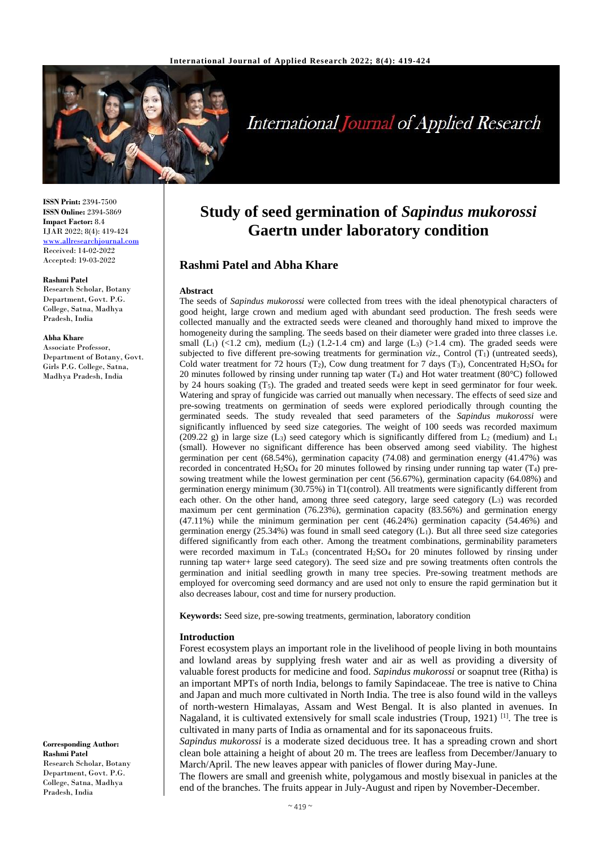

# **International Journal of Applied Research**

**ISSN Print:** 2394-7500 **ISSN Online:** 2394-5869 **Impact Factor:** 8.4 IJAR 2022; 8(4): 419-424 <www.allresearchjournal.com> Received: 14-02-2022 Accepted: 19-03-2022

# **Rashmi Patel**

Research Scholar, Botany Department, Govt. P.G. College, Satna, Madhya Pradesh, India

#### **Abha Khare**

Associate Professor, Department of Botany, Govt. Girls P.G. College, Satna, Madhya Pradesh, India

#### **Corresponding Author: Rashmi Patel** Research Scholar, Botany Department, Govt. P.G. College, Satna, Madhya Pradesh, India

# **Study of seed germination of** *Sapindus mukorossi* **Gaertn under laboratory condition**

# **Rashmi Patel and Abha Khare**

### **Abstract**

The seeds of *Sapindus mukorossi* were collected from trees with the ideal phenotypical characters of good height, large crown and medium aged with abundant seed production. The fresh seeds were collected manually and the extracted seeds were cleaned and thoroughly hand mixed to improve the homogeneity during the sampling. The seeds based on their diameter were graded into three classes i.e. small  $(L_1)$  (<1.2 cm), medium  $(L_2)$  (1.2-1.4 cm) and large (L<sub>3</sub>) (>1.4 cm). The graded seeds were subjected to five different pre-sowing treatments for germination  $viz$ , Control  $(T_1)$  (untreated seeds), Cold water treatment for 72 hours (T<sub>2</sub>), Cow dung treatment for 7 days (T<sub>3</sub>), Concentrated H<sub>2</sub>SO<sub>4</sub> for 20 minutes followed by rinsing under running tap water  $(T_4)$  and Hot water treatment (80 $^{\circ}$ C) followed by 24 hours soaking  $(T_5)$ . The graded and treated seeds were kept in seed germinator for four week. Watering and spray of fungicide was carried out manually when necessary. The effects of seed size and pre-sowing treatments on germination of seeds were explored periodically through counting the germinated seeds. The study revealed that seed parameters of the *Sapindus mukorossi* were significantly influenced by seed size categories. The weight of 100 seeds was recorded maximum (209.22 g) in large size (L<sub>3</sub>) seed category which is significantly differed from L<sub>2</sub> (medium) and L<sub>1</sub> (small). However no significant difference has been observed among seed viability. The highest germination per cent (68.54%), germination capacity (74.08) and germination energy (41.47%) was recorded in concentrated H2SO<sup>4</sup> for 20 minutes followed by rinsing under running tap water (T4) presowing treatment while the lowest germination per cent (56.67%), germination capacity (64.08%) and germination energy minimum (30.75%) in T1(control). All treatments were significantly different from each other. On the other hand, among three seed category, large seed category  $(L<sub>3</sub>)$  was recorded maximum per cent germination (76.23%), germination capacity (83.56%) and germination energy (47.11%) while the minimum germination per cent (46.24%) germination capacity (54.46%) and germination energy  $(25.34%)$  was found in small seed category  $(L_1)$ . But all three seed size categories differed significantly from each other. Among the treatment combinations, germinability parameters were recorded maximum in T4L<sup>3</sup> (concentrated H2SO<sup>4</sup> for 20 minutes followed by rinsing under running tap water+ large seed category). The seed size and pre sowing treatments often controls the germination and initial seedling growth in many tree species. Pre-sowing treatment methods are employed for overcoming seed dormancy and are used not only to ensure the rapid germination but it also decreases labour, cost and time for nursery production.

**Keywords:** Seed size, pre-sowing treatments, germination, laboratory condition

#### **Introduction**

Forest ecosystem plays an important role in the livelihood of people living in both mountains and lowland areas by supplying fresh water and air as well as providing a diversity of valuable forest products for medicine and food. *Sapindus mukorossi* or soapnut tree (Ritha) is an important MPTs of north India, belongs to family Sapindaceae. The tree is native to China and Japan and much more cultivated in North India. The tree is also found wild in the valleys of north-western Himalayas, Assam and West Bengal. It is also planted in avenues. In Nagaland, it is cultivated extensively for small scale industries (Troup, 1921)  $^{[1]}$ . The tree is cultivated in many parts of India as ornamental and for its saponaceous fruits.

*Sapindus mukorossi* is a moderate sized deciduous tree. It has a spreading crown and short clean bole attaining a height of about 20 m. The trees are leafless from December/January to March/April. The new leaves appear with panicles of flower during May-June.

The flowers are small and greenish white, polygamous and mostly bisexual in panicles at the end of the branches. The fruits appear in July-August and ripen by November-December.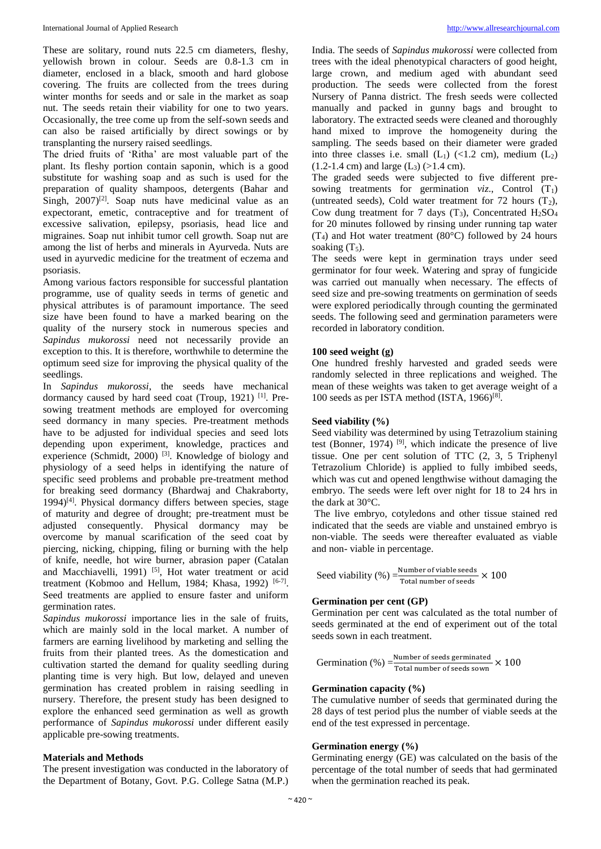These are solitary, round nuts 22.5 cm diameters, fleshy, yellowish brown in colour. Seeds are 0.8-1.3 cm in diameter, enclosed in a black, smooth and hard globose covering. The fruits are collected from the trees during winter months for seeds and or sale in the market as soap nut. The seeds retain their viability for one to two years. Occasionally, the tree come up from the self-sown seeds and can also be raised artificially by direct sowings or by transplanting the nursery raised seedlings.

The dried fruits of 'Ritha' are most valuable part of the plant. Its fleshy portion contain saponin, which is a good substitute for washing soap and as such is used for the preparation of quality shampoos, detergents (Bahar and Singh,  $2007$ <sup>[2]</sup>. Soap nuts have medicinal value as an expectorant, emetic, contraceptive and for treatment of excessive salivation, epilepsy, psoriasis, head lice and migraines. Soap nut inhibit tumor cell growth. Soap nut are among the list of herbs and minerals in Ayurveda. Nuts are used in ayurvedic medicine for the treatment of eczema and psoriasis.

Among various factors responsible for successful plantation programme, use of quality seeds in terms of genetic and physical attributes is of paramount importance. The seed size have been found to have a marked bearing on the quality of the nursery stock in numerous species and *Sapindus mukorossi* need not necessarily provide an exception to this. It is therefore, worthwhile to determine the optimum seed size for improving the physical quality of the seedlings.

In *Sapindus mukorossi*, the seeds have mechanical dormancy caused by hard seed coat (Troup, 1921) [1]. Presowing treatment methods are employed for overcoming seed dormancy in many species. Pre-treatment methods have to be adjusted for individual species and seed lots depending upon experiment, knowledge, practices and experience (Schmidt, 2000)<sup>[3]</sup>. Knowledge of biology and physiology of a seed helps in identifying the nature of specific seed problems and probable pre-treatment method for breaking seed dormancy (Bhardwaj and Chakraborty,  $1994$ <sup>[4]</sup>. Physical dormancy differs between species, stage of maturity and degree of drought; pre-treatment must be adjusted consequently. Physical dormancy may be overcome by manual scarification of the seed coat by piercing, nicking, chipping, filing or burning with the help of knife, needle, hot wire burner, abrasion paper (Catalan and Macchiavelli, 1991)  $[5]$ , Hot water treatment or acid treatment (Kobmoo and Hellum, 1984; Khasa, 1992)<sup>[6-7]</sup>. Seed treatments are applied to ensure faster and uniform germination rates.

*Sapindus mukorossi* importance lies in the sale of fruits, which are mainly sold in the local market. A number of farmers are earning livelihood by marketing and selling the fruits from their planted trees. As the domestication and cultivation started the demand for quality seedling during planting time is very high. But low, delayed and uneven germination has created problem in raising seedling in nursery. Therefore, the present study has been designed to explore the enhanced seed germination as well as growth performance of *Sapindus mukorossi* under different easily applicable pre-sowing treatments.

#### **Materials and Methods**

The present investigation was conducted in the laboratory of the Department of Botany, Govt. P.G. College Satna (M.P.) India. The seeds of *Sapindus mukorossi* were collected from trees with the ideal phenotypical characters of good height, large crown, and medium aged with abundant seed production. The seeds were collected from the forest Nursery of Panna district. The fresh seeds were collected manually and packed in gunny bags and brought to laboratory. The extracted seeds were cleaned and thoroughly hand mixed to improve the homogeneity during the sampling. The seeds based on their diameter were graded into three classes i.e. small  $(L_1)$  (<1.2 cm), medium  $(L_2)$  $(1.2-1.4 \text{ cm})$  and large  $(L_3)$  (>1.4 cm).

The graded seeds were subjected to five different presowing treatments for germination  $viz.$ , Control  $(T_1)$ (untreated seeds), Cold water treatment for 72 hours  $(T_2)$ , Cow dung treatment for 7 days  $(T_3)$ , Concentrated H<sub>2</sub>SO<sub>4</sub> for 20 minutes followed by rinsing under running tap water  $(T_4)$  and Hot water treatment (80 $^{\circ}$ C) followed by 24 hours soaking  $(T_5)$ .

The seeds were kept in germination trays under seed germinator for four week. Watering and spray of fungicide was carried out manually when necessary. The effects of seed size and pre-sowing treatments on germination of seeds were explored periodically through counting the germinated seeds. The following seed and germination parameters were recorded in laboratory condition.

# **100 seed weight (g)**

One hundred freshly harvested and graded seeds were randomly selected in three replications and weighed. The mean of these weights was taken to get average weight of a 100 seeds as per ISTA method (ISTA, 1966)<sup>[8]</sup>.

# **Seed viability (%)**

Seed viability was determined by using Tetrazolium staining test (Bonner, 1974)  $[9]$ , which indicate the presence of live tissue. One per cent solution of TTC (2, 3, 5 Triphenyl Tetrazolium Chloride) is applied to fully imbibed seeds, which was cut and opened lengthwise without damaging the embryo. The seeds were left over night for 18 to 24 hrs in the dark at 30°C.

The live embryo, cotyledons and other tissue stained red indicated that the seeds are viable and unstained embryo is non-viable. The seeds were thereafter evaluated as viable and non- viable in percentage.

Seed viability (%)  $=\frac{\text{Number of viable seeds}}{\text{Total number of seeds}} \times 100$ 

# **Germination per cent (GP)**

Germination per cent was calculated as the total number of seeds germinated at the end of experiment out of the total seeds sown in each treatment.

$$
Germanation (\%) = \frac{Number\ of\ seeds\ germinated}{Total\ number\ of\ seeds\ sown} \times 100
$$

# **Germination capacity (%)**

The cumulative number of seeds that germinated during the 28 days of test period plus the number of viable seeds at the end of the test expressed in percentage.

# **Germination energy (%)**

Germinating energy (GE) was calculated on the basis of the percentage of the total number of seeds that had germinated when the germination reached its peak.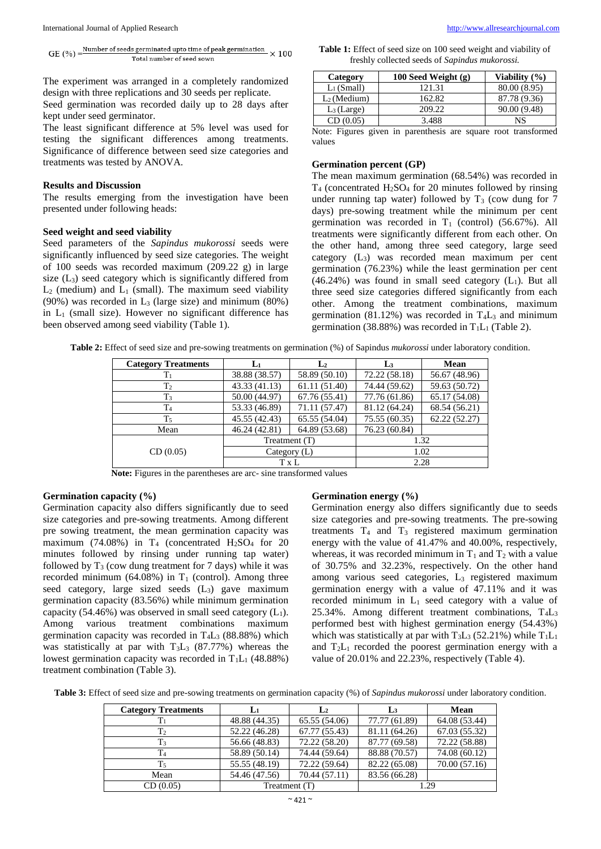GE (%) =  $\frac{\text{Number of seeds germinated up to time of peak germination}}{\text{4.100}} \times 100$ Total number of seed sown

The experiment was arranged in a completely randomized design with three replications and 30 seeds per replicate.

Seed germination was recorded daily up to 28 days after kept under seed germinator.

The least significant difference at 5% level was used for testing the significant differences among treatments. Significance of difference between seed size categories and treatments was tested by ANOVA.

# **Results and Discussion**

The results emerging from the investigation have been presented under following heads:

# **Seed weight and seed viability**

Seed parameters of the *Sapindus mukorossi* seeds were significantly influenced by seed size categories. The weight of 100 seeds was recorded maximum (209.22 g) in large size  $(L_3)$  seed category which is significantly differed from  $L_2$  (medium) and  $L_1$  (small). The maximum seed viability  $(90\%)$  was recorded in  $L_3$  (large size) and minimum (80%) in  $L_1$  (small size). However no significant difference has been observed among seed viability (Table 1).

**Table 1:** Effect of seed size on 100 seed weight and viability of freshly collected seeds of *Sapindus mukorossi.*

| Category       | 100 Seed Weight (g) | Viability $(\% )$ |
|----------------|---------------------|-------------------|
| $L_1(Small)$   | 121.31              | 80.00 (8.95)      |
| $L_2$ (Medium) | 162.82              | 87.78 (9.36)      |
| $L_3$ (Large)  | 209.22              | 90.00 (9.48)      |
| CD(0.05)       | 3.488               | NS                |

Note: Figures given in parenthesis are square root transformed values

# **Germination percent (GP)**

The mean maximum germination (68.54%) was recorded in  $T_4$  (concentrated H<sub>2</sub>SO<sub>4</sub> for 20 minutes followed by rinsing under running tap water) followed by  $T_3$  (cow dung for 7 days) pre-sowing treatment while the minimum per cent germination was recorded in  $T_1$  (control) (56.67%). All treatments were significantly different from each other. On the other hand, among three seed category, large seed category  $(L_3)$  was recorded mean maximum per cent germination (76.23%) while the least germination per cent  $(46.24\%)$  was found in small seed category  $(L_1)$ . But all three seed size categories differed significantly from each other. Among the treatment combinations, maximum germination (81.12%) was recorded in  $T_4L_3$  and minimum germination (38.88%) was recorded in  $T_1L_1$  (Table 2).

| Table 2: Effect of seed size and pre-sowing treatments on germination (%) of Sapindus mukorossi under laboratory condition. |  |  |  |  |  |
|-----------------------------------------------------------------------------------------------------------------------------|--|--|--|--|--|
|-----------------------------------------------------------------------------------------------------------------------------|--|--|--|--|--|

| <b>Category Treatments</b> | L1              | $\mathbf{L}_2$ | L <sub>3</sub> | Mean          |
|----------------------------|-----------------|----------------|----------------|---------------|
| $T_1$                      | 38.88 (38.57)   | 58.89 (50.10)  | 72.22 (58.18)  | 56.67 (48.96) |
| T <sub>2</sub>             | 43.33 (41.13)   | 61.11(51.40)   | 74.44 (59.62)  | 59.63 (50.72) |
| $T_3$                      | 50.00 (44.97)   | 67.76(55.41)   | 77.76 (61.86)  | 65.17 (54.08) |
| $\rm T_4$                  | 53.33 (46.89)   | 71.11 (57.47)  | 81.12 (64.24)  | 68.54 (56.21) |
| T <sub>5</sub>             | 45.55 (42.43)   | 65.55 (54.04)  | 75.55 (60.35)  | 62.22(52.27)  |
| Mean                       | 46.24 (42.81)   | 64.89 (53.68)  | 76.23 (60.84)  |               |
|                            | Treatment $(T)$ |                |                | 1.32          |
| CD(0.05)                   | Category $(L)$  |                | 1.02           |               |
|                            | T x L           |                | 2.28           |               |

**Note:** Figures in the parentheses are arc- sine transformed values

# **Germination capacity (%)**

Germination capacity also differs significantly due to seed size categories and pre-sowing treatments. Among different pre sowing treatment, the mean germination capacity was maximum (74.08%) in  $T_4$  (concentrated  $H_2SO_4$  for 20 minutes followed by rinsing under running tap water) followed by  $T_3$  (cow dung treatment for 7 days) while it was recorded minimum (64.08%) in  $T_1$  (control). Among three seed category, large sized seeds  $(L_3)$  gave maximum germination capacity (83.56%) while minimum germination capacity (54.46%) was observed in small seed category  $(L_1)$ . Among various treatment combinations maximum germination capacity was recorded in  $T<sub>4</sub>L<sub>3</sub>$  (88.88%) which was statistically at par with  $T_3L_3$  (87.77%) whereas the lowest germination capacity was recorded in  $T<sub>1</sub>L<sub>1</sub>$  (48.88%) treatment combination (Table 3).

# **Germination energy (%)**

Germination energy also differs significantly due to seeds size categories and pre-sowing treatments. The pre-sowing treatments  $T_4$  and  $T_3$  registered maximum germination energy with the value of 41.47% and 40.00%, respectively, whereas, it was recorded minimum in  $T_1$  and  $T_2$  with a value of 30.75% and 32.23%, respectively. On the other hand among various seed categories, L<sup>3</sup> registered maximum germination energy with a value of 47.11% and it was recorded minimum in  $L_1$  seed category with a value of  $25.34\%$ . Among different treatment combinations,  $T_4L_3$ performed best with highest germination energy (54.43%) which was statistically at par with  $T_3L_3$  (52.21%) while  $T_1L_1$ and  $T_2L_1$  recorded the poorest germination energy with a value of 20.01% and 22.23%, respectively (Table 4).

**Table 3:** Effect of seed size and pre-sowing treatments on germination capacity (%) of *Sapindus mukorossi* under laboratory condition.

| <b>Category Treatments</b> | L1            | $\mathbf{L}_2$ | Lз            | Mean          |
|----------------------------|---------------|----------------|---------------|---------------|
|                            | 48.88 (44.35) | 65.55 (54.06)  | 77.77 (61.89) | 64.08 (53.44) |
| T <sub>2</sub>             | 52.22 (46.28) | 67.77(55.43)   | 81.11 (64.26) | 67.03 (55.32) |
| $T_3$                      | 56.66 (48.83) | 72.22 (58.20)  | 87.77 (69.58) | 72.22 (58.88) |
| T <sub>4</sub>             | 58.89 (50.14) | 74.44 (59.64)  | 88.88 (70.57) | 74.08 (60.12) |
| T <sub>5</sub>             | 55.55 (48.19) | 72.22 (59.64)  | 82.22 (65.08) | 70.00 (57.16) |
| Mean                       | 54.46 (47.56) | 70.44 (57.11)  | 83.56 (66.28) |               |
| CD(0.05)                   | Treatment (T) |                |               | 1.29          |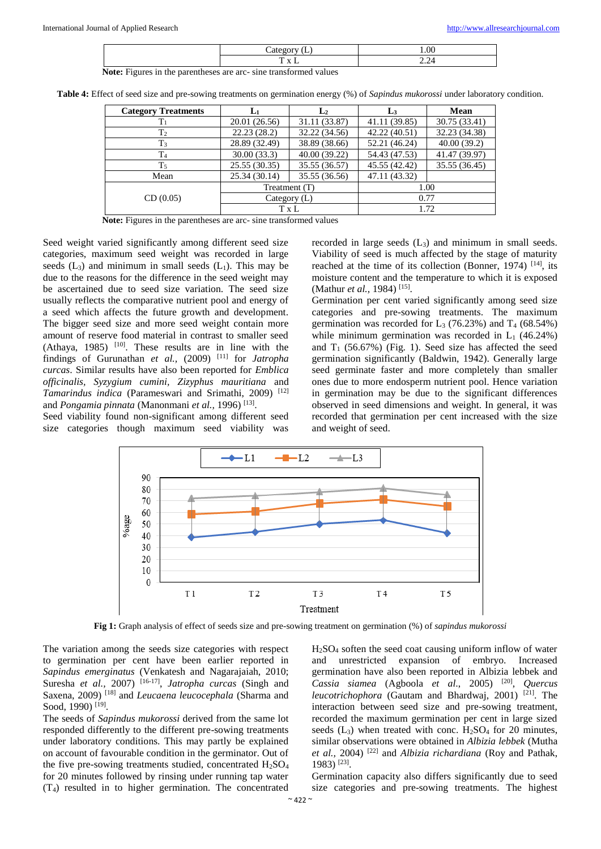| <b>Service Control</b><br>--- | .00          |
|-------------------------------|--------------|
| <b>**</b>                     | ---<br>$  -$ |
|                               |              |

**Note:** Figures in the parentheses are arc- sine transformed values

**Table 4:** Effect of seed size and pre-sowing treatments on germination energy (%) of *Sapindus mukorossi* under laboratory condition.

| <b>Category Treatments</b> | L۱             | $\mathbf{L}_2$ | Lз            | <b>Mean</b>   |
|----------------------------|----------------|----------------|---------------|---------------|
| $T_1$                      | 20.01 (26.56)  | 31.11 (33.87)  | 41.11 (39.85) | 30.75 (33.41) |
| T <sub>2</sub>             | 22.23(28.2)    | 32.22 (34.56)  | 42.22 (40.51) | 32.23 (34.38) |
| $T_3$                      | 28.89 (32.49)  | 38.89 (38.66)  | 52.21 (46.24) | 40.00(39.2)   |
| T <sub>4</sub>             | 30.00(33.3)    | 40.00 (39.22)  | 54.43 (47.53) | 41.47 (39.97) |
| T <sub>5</sub>             | 25.55 (30.35)  | 35.55 (36.57)  | 45.55 (42.42) | 35.55 (36.45) |
| Mean                       | 25.34 (30.14)  | 35.55 (36.56)  | 47.11 (43.32) |               |
|                            | Treatment (T)  |                | 1.00          |               |
| CD(0.05)                   | Category $(L)$ |                | 0.77          |               |
|                            | $T \times L$   |                | 1.72          |               |

**Note:** Figures in the parentheses are arc- sine transformed values

Seed weight varied significantly among different seed size categories, maximum seed weight was recorded in large seeds  $(L_3)$  and minimum in small seeds  $(L_1)$ . This may be due to the reasons for the difference in the seed weight may be ascertained due to seed size variation. The seed size usually reflects the comparative nutrient pool and energy of a seed which affects the future growth and development. The bigger seed size and more seed weight contain more amount of reserve food material in contrast to smaller seed (Athaya, 1985)  $[10]$ . These results are in line with the findings of Gurunathan *et al.,* (2009) [11] for *Jatropha curcas*. Similar results have also been reported for *Emblica officinalis, Syzygium cumini, Zizyphus mauritiana* and *Tamarindus indica* (Parameswari and Srimathi, 2009)<sup>[12]</sup> and *Pongamia pinnata* (Manonmani *et al.,* 1996) [13] .

Seed viability found non-significant among different seed size categories though maximum seed viability was recorded in large seeds  $(L_3)$  and minimum in small seeds. Viability of seed is much affected by the stage of maturity reached at the time of its collection (Bonner, 1974)  $[14]$ , its moisture content and the temperature to which it is exposed (Mathur *et al.*, 1984)<sup>[15]</sup>.

Germination per cent varied significantly among seed size categories and pre-sowing treatments. The maximum germination was recorded for  $L_3$  (76.23%) and  $T_4$  (68.54%) while minimum germination was recorded in  $L_1$  (46.24%) and  $T_1$  (56.67%) (Fig. 1). Seed size has affected the seed germination significantly (Baldwin, 1942). Generally large seed germinate faster and more completely than smaller ones due to more endosperm nutrient pool. Hence variation in germination may be due to the significant differences observed in seed dimensions and weight. In general, it was recorded that germination per cent increased with the size and weight of seed.



**Fig 1:** Graph analysis of effect of seeds size and pre-sowing treatment on germination (%) of *sapindus mukorossi*

The variation among the seeds size categories with respect to germination per cent have been earlier reported in *Sapindus emerginatus* (Venkatesh and Nagarajaiah, 2010; Suresha et al., 2007)<sup>[16-17]</sup>, *Jatropha curcas* (Singh and Saxena, 2009) [18] and *Leucaena leucocephala* (Sharma and Sood, 1990)<sup>[19]</sup>.

The seeds of *Sapindus mukorossi* derived from the same lot responded differently to the different pre-sowing treatments under laboratory conditions. This may partly be explained on account of favourable condition in the germinator. Out of the five pre-sowing treatments studied, concentrated H<sub>2</sub>SO<sub>4</sub> for 20 minutes followed by rinsing under running tap water (T4) resulted in to higher germination. The concentrated

H2SO<sup>4</sup> soften the seed coat causing uniform inflow of water and unrestricted expansion of embryo. Increased germination have also been reported in Albizia lebbek and *Cassia siamea* (Agboola *et al*., 2005) [20] , *Quercus leucotrichophora* (Gautam and Bhardwaj, 2001) [21]. The interaction between seed size and pre-sowing treatment, recorded the maximum germination per cent in large sized seeds  $(L_3)$  when treated with conc.  $H_2SO_4$  for 20 minutes, similar observations were obtained in *Albizia lebbek* (Mutha *et al.,* 2004) [22] and *Albizia richardiana* (Roy and Pathak, 1983) [23] .

Germination capacity also differs significantly due to seed size categories and pre-sowing treatments. The highest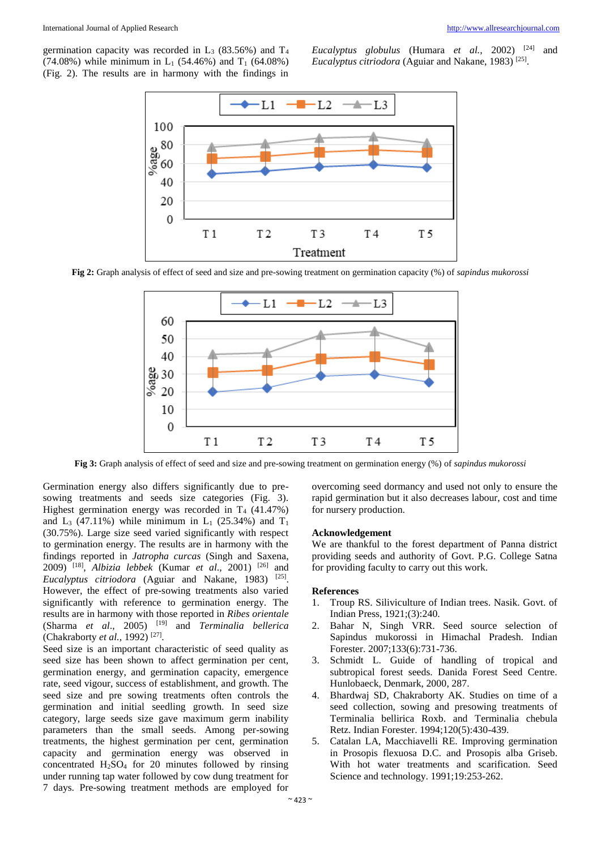germination capacity was recorded in  $L_3$  (83.56%) and  $T_4$ (74.08%) while minimum in  $L_1$  (54.46%) and  $T_1$  (64.08%) (Fig. 2). The results are in harmony with the findings in

*Eucalyptus globulus* (Humara *et al.,* 2002) [24] and *Eucalyptus citriodora* (Aguiar and Nakane, 1983)<sup>[25]</sup>.



**Fig 2:** Graph analysis of effect of seed and size and pre-sowing treatment on germination capacity (%) of *sapindus mukorossi*



**Fig 3:** Graph analysis of effect of seed and size and pre-sowing treatment on germination energy (%) of *sapindus mukorossi*

Germination energy also differs significantly due to presowing treatments and seeds size categories (Fig. 3). Highest germination energy was recorded in  $T_4$  (41.47%) and  $L_3$  (47.11%) while minimum in  $L_1$  (25.34%) and  $T_1$ (30.75%). Large size seed varied significantly with respect to germination energy. The results are in harmony with the findings reported in *Jatropha curcas* (Singh and Saxena, 2009) [18] , *Albizia lebbek* (Kumar *et al*., 2001) [26] and Eucalyptus citriodora (Aguiar and Nakane, 1983)<sup>[25]</sup>. However, the effect of pre-sowing treatments also varied significantly with reference to germination energy. The results are in harmony with those reported in *Ribes orientale* (Sharma *et al*., 2005) [19] and *Terminalia bellerica* (Chakraborty *et al.*, 1992)<sup>[27]</sup>.

Seed size is an important characteristic of seed quality as seed size has been shown to affect germination per cent, germination energy, and germination capacity, emergence rate, seed vigour, success of establishment, and growth. The seed size and pre sowing treatments often controls the germination and initial seedling growth. In seed size category, large seeds size gave maximum germ inability parameters than the small seeds. Among per-sowing treatments, the highest germination per cent, germination capacity and germination energy was observed in concentrated H2SO<sup>4</sup> for 20 minutes followed by rinsing under running tap water followed by cow dung treatment for 7 days. Pre-sowing treatment methods are employed for

overcoming seed dormancy and used not only to ensure the rapid germination but it also decreases labour, cost and time for nursery production.

# **Acknowledgement**

We are thankful to the forest department of Panna district providing seeds and authority of Govt. P.G. College Satna for providing faculty to carry out this work.

#### **References**

- 1. Troup RS. Siliviculture of Indian trees. Nasik. Govt. of Indian Press, 1921;(3):240.
- 2. Bahar N, Singh VRR. Seed source selection of Sapindus mukorossi in Himachal Pradesh. Indian Forester. 2007;133(6):731-736.
- 3. Schmidt L. Guide of handling of tropical and subtropical forest seeds. Danida Forest Seed Centre. Hunlobaeck, Denmark, 2000, 287.
- 4. Bhardwaj SD, Chakraborty AK. Studies on time of a seed collection, sowing and presowing treatments of Terminalia bellirica Roxb. and Terminalia chebula Retz. Indian Forester. 1994;120(5):430-439.
- 5. Catalan LA, Macchiavelli RE. Improving germination in Prosopis flexuosa D.C. and Prosopis alba Griseb. With hot water treatments and scarification. Seed Science and technology. 1991;19:253-262.